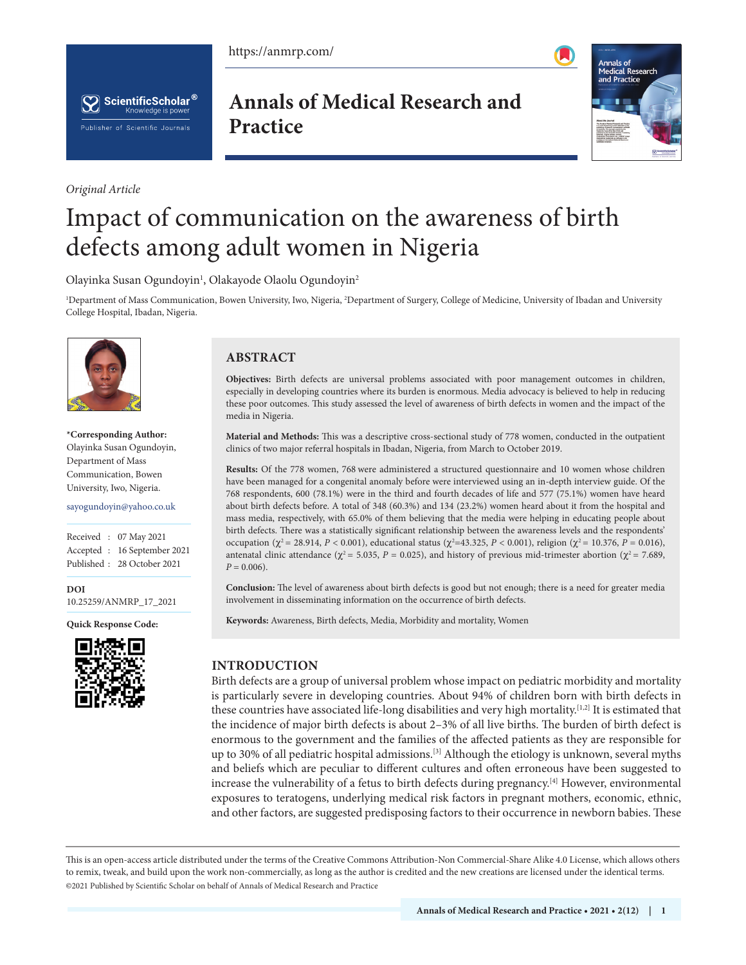https://anmrp.com/





*Original Article*

**Annals of Medical Research and Practice**



# Impact of communication on the awareness of birth defects among adult women in Nigeria

Olayinka Susan Ogundoyin<sup>1</sup>, Olakayode Olaolu Ogundoyin<sup>2</sup>

<sup>1</sup>Department of Mass Communication, Bowen University, Iwo, Nigeria, <sup>2</sup>Department of Surgery, College of Medicine, University of Ibadan and University College Hospital, Ibadan, Nigeria.



**\*Corresponding Author:** Olayinka Susan Ogundoyin, Department of Mass Communication, Bowen University, Iwo, Nigeria.

sayogundoyin@yahoo.co.uk

Received : 07 May 2021 Accepted : 16 September 2021 Published : 28 October 2021

**DOI** [10.25259/ANMRP\\_17\\_2021](https://dx.doi.org/10.25259/ANMRP_17_2021)

**Quick Response Code:**



# **ABSTRACT**

**Objectives:** Birth defects are universal problems associated with poor management outcomes in children, especially in developing countries where its burden is enormous. Media advocacy is believed to help in reducing these poor outcomes. This study assessed the level of awareness of birth defects in women and the impact of the media in Nigeria.

**Material and Methods:** This was a descriptive cross-sectional study of 778 women, conducted in the outpatient clinics of two major referral hospitals in Ibadan, Nigeria, from March to October 2019.

**Results:** Of the 778 women, 768 were administered a structured questionnaire and 10 women whose children have been managed for a congenital anomaly before were interviewed using an in-depth interview guide. Of the 768 respondents, 600 (78.1%) were in the third and fourth decades of life and 577 (75.1%) women have heard about birth defects before. A total of 348 (60.3%) and 134 (23.2%) women heard about it from the hospital and mass media, respectively, with 65.0% of them believing that the media were helping in educating people about birth defects. There was a statistically significant relationship between the awareness levels and the respondents' occupation (χ<sup>2</sup> = 28.914, *P* < 0.001), educational status (χ<sup>2</sup>=43.325, *P* < 0.001), religion (χ<sup>2</sup> = 10.376, *P* = 0.016), antenatal clinic attendance ( $\chi^2$  = 5.035, *P* = 0.025), and history of previous mid-trimester abortion ( $\chi^2$  = 7.689,  $P = 0.006$ ).

**Conclusion:** The level of awareness about birth defects is good but not enough; there is a need for greater media involvement in disseminating information on the occurrence of birth defects.

**Keywords:** Awareness, Birth defects, Media, Morbidity and mortality, Women

# **INTRODUCTION**

Birth defects are a group of universal problem whose impact on pediatric morbidity and mortality is particularly severe in developing countries. About 94% of children born with birth defects in these countries have associated life-long disabilities and very high mortality.<sup>[1,2]</sup> It is estimated that the incidence of major birth defects is about 2–3% of all live births. The burden of birth defect is enormous to the government and the families of the affected patients as they are responsible for up to 30% of all pediatric hospital admissions.[3] Although the etiology is unknown, several myths and beliefs which are peculiar to different cultures and often erroneous have been suggested to increase the vulnerability of a fetus to birth defects during pregnancy.<sup>[4]</sup> However, environmental exposures to teratogens, underlying medical risk factors in pregnant mothers, economic, ethnic, and other factors, are suggested predisposing factors to their occurrence in newborn babies. These

This is an open-access article distributed under the terms of the Creative Commons Attribution-Non Commercial-Share Alike 4.0 License, which allows others to remix, tweak, and build upon the work non-commercially, as long as the author is credited and the new creations are licensed under the identical terms. ©2021 Published by Scientific Scholar on behalf of Annals of Medical Research and Practice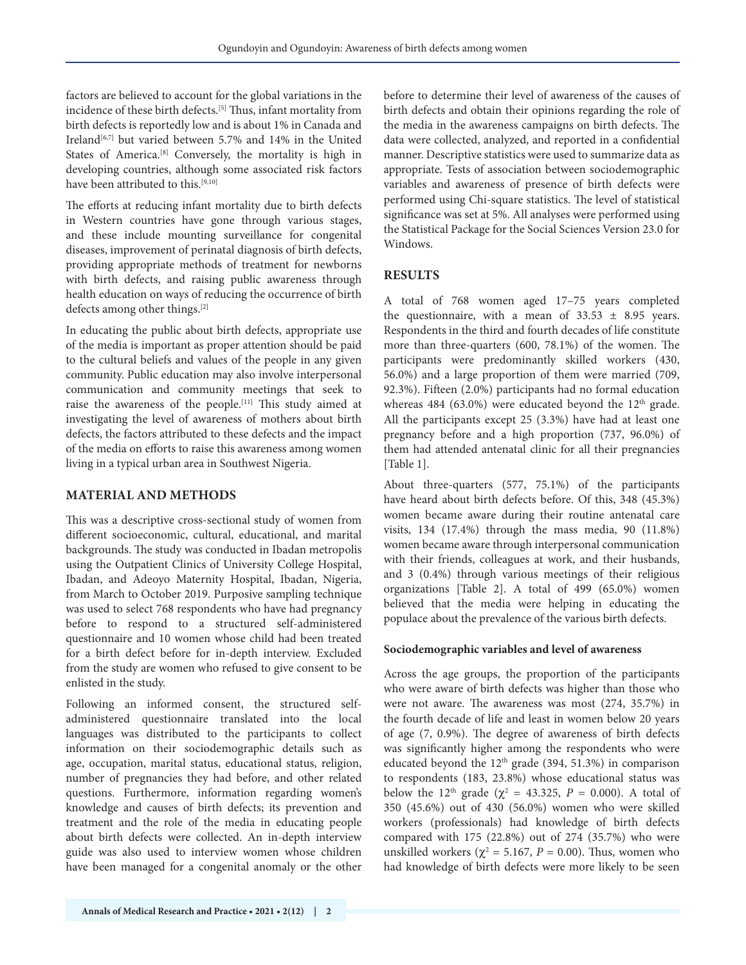factors are believed to account for the global variations in the incidence of these birth defects.[5] Thus, infant mortality from birth defects is reportedly low and is about 1% in Canada and Ireland<sup>[6,7]</sup> but varied between 5.7% and 14% in the United States of America.<sup>[8]</sup> Conversely, the mortality is high in developing countries, although some associated risk factors have been attributed to this.<sup>[9,10]</sup>

The efforts at reducing infant mortality due to birth defects in Western countries have gone through various stages, and these include mounting surveillance for congenital diseases, improvement of perinatal diagnosis of birth defects, providing appropriate methods of treatment for newborns with birth defects, and raising public awareness through health education on ways of reducing the occurrence of birth defects among other things.<sup>[2]</sup>

In educating the public about birth defects, appropriate use of the media is important as proper attention should be paid to the cultural beliefs and values of the people in any given community. Public education may also involve interpersonal communication and community meetings that seek to raise the awareness of the people.[11] This study aimed at investigating the level of awareness of mothers about birth defects, the factors attributed to these defects and the impact of the media on efforts to raise this awareness among women living in a typical urban area in Southwest Nigeria.

# **MATERIAL AND METHODS**

This was a descriptive cross-sectional study of women from different socioeconomic, cultural, educational, and marital backgrounds. The study was conducted in Ibadan metropolis using the Outpatient Clinics of University College Hospital, Ibadan, and Adeoyo Maternity Hospital, Ibadan, Nigeria, from March to October 2019. Purposive sampling technique was used to select 768 respondents who have had pregnancy before to respond to a structured self-administered questionnaire and 10 women whose child had been treated for a birth defect before for in-depth interview. Excluded from the study are women who refused to give consent to be enlisted in the study.

Following an informed consent, the structured selfadministered questionnaire translated into the local languages was distributed to the participants to collect information on their sociodemographic details such as age, occupation, marital status, educational status, religion, number of pregnancies they had before, and other related questions. Furthermore, information regarding women's knowledge and causes of birth defects; its prevention and treatment and the role of the media in educating people about birth defects were collected. An in-depth interview guide was also used to interview women whose children have been managed for a congenital anomaly or the other

before to determine their level of awareness of the causes of birth defects and obtain their opinions regarding the role of the media in the awareness campaigns on birth defects. The data were collected, analyzed, and reported in a confidential manner. Descriptive statistics were used to summarize data as appropriate. Tests of association between sociodemographic variables and awareness of presence of birth defects were performed using Chi-square statistics. The level of statistical significance was set at 5%. All analyses were performed using the Statistical Package for the Social Sciences Version 23.0 for Windows.

# **RESULTS**

A total of 768 women aged 17–75 years completed the questionnaire, with a mean of  $33.53 \pm 8.95$  years. Respondents in the third and fourth decades of life constitute more than three-quarters (600, 78.1%) of the women. The participants were predominantly skilled workers (430, 56.0%) and a large proportion of them were married (709, 92.3%). Fifteen (2.0%) participants had no formal education whereas 484  $(63.0\%)$  were educated beyond the 12<sup>th</sup> grade. All the participants except 25 (3.3%) have had at least one pregnancy before and a high proportion (737, 96.0%) of them had attended antenatal clinic for all their pregnancies [Table 1].

About three-quarters (577, 75.1%) of the participants have heard about birth defects before. Of this, 348 (45.3%) women became aware during their routine antenatal care visits, 134 (17.4%) through the mass media, 90 (11.8%) women became aware through interpersonal communication with their friends, colleagues at work, and their husbands, and 3 (0.4%) through various meetings of their religious organizations [Table 2]. A total of 499 (65.0%) women believed that the media were helping in educating the populace about the prevalence of the various birth defects.

# **Sociodemographic variables and level of awareness**

Across the age groups, the proportion of the participants who were aware of birth defects was higher than those who were not aware. The awareness was most (274, 35.7%) in the fourth decade of life and least in women below 20 years of age (7, 0.9%). The degree of awareness of birth defects was significantly higher among the respondents who were educated beyond the 12th grade (394, 51.3%) in comparison to respondents (183, 23.8%) whose educational status was below the 12<sup>th</sup> grade ( $\chi^2 = 43.325$ ,  $P = 0.000$ ). A total of 350 (45.6%) out of 430 (56.0%) women who were skilled workers (professionals) had knowledge of birth defects compared with 175 (22.8%) out of 274 (35.7%) who were unskilled workers ( $\chi^2$  = 5.167, *P* = 0.00). Thus, women who had knowledge of birth defects were more likely to be seen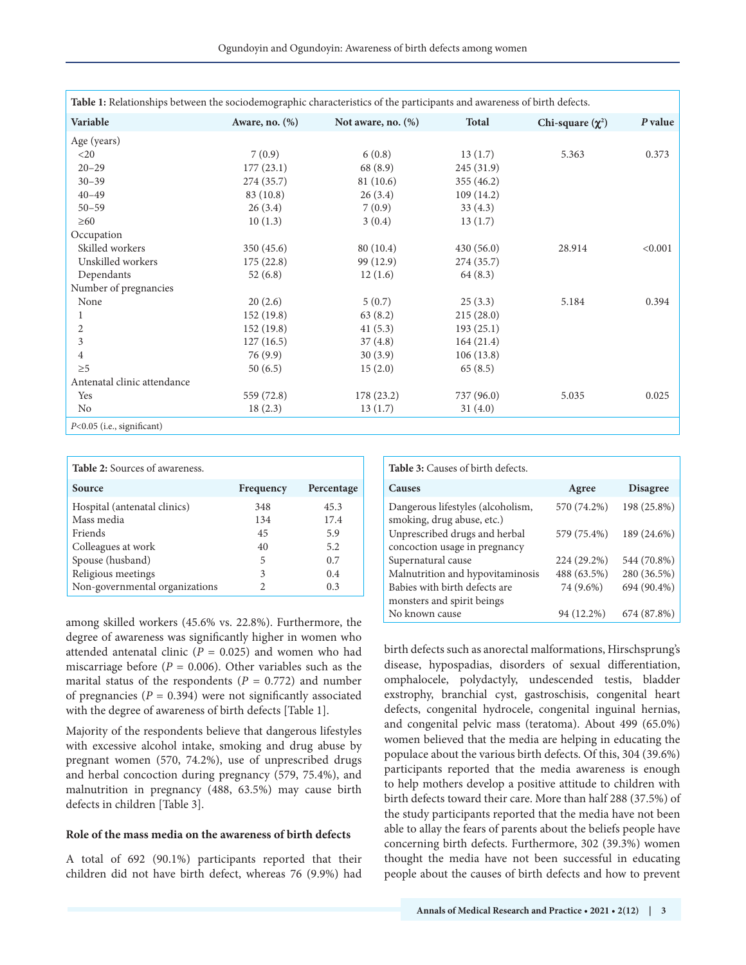| Table 1: Relationships between the sociodemographic characteristics of the participants and awareness of birth defects. |                |                       |              |                       |         |  |  |  |
|-------------------------------------------------------------------------------------------------------------------------|----------------|-----------------------|--------------|-----------------------|---------|--|--|--|
| Variable                                                                                                                | Aware, no. (%) | Not aware, no. $(\%)$ | <b>Total</b> | Chi-square $(\chi^2)$ | P value |  |  |  |
| Age (years)                                                                                                             |                |                       |              |                       |         |  |  |  |
| $<$ 20                                                                                                                  | 7(0.9)         | 6(0.8)                | 13(1.7)      | 5.363                 | 0.373   |  |  |  |
| $20 - 29$                                                                                                               | 177(23.1)      | 68 (8.9)              | 245 (31.9)   |                       |         |  |  |  |
| $30 - 39$                                                                                                               | 274 (35.7)     | 81 (10.6)             | 355 (46.2)   |                       |         |  |  |  |
| $40 - 49$                                                                                                               | 83 (10.8)      | 26(3.4)               | 109(14.2)    |                       |         |  |  |  |
| $50 - 59$                                                                                                               | 26(3.4)        | 7(0.9)                | 33(4.3)      |                       |         |  |  |  |
| $\geq 60$                                                                                                               | 10(1.3)        | 3(0.4)                | 13(1.7)      |                       |         |  |  |  |
| Occupation                                                                                                              |                |                       |              |                       |         |  |  |  |
| Skilled workers                                                                                                         | 350(45.6)      | 80(10.4)              | 430(56.0)    | 28.914                | < 0.001 |  |  |  |
| Unskilled workers                                                                                                       | 175(22.8)      | 99 (12.9)             | 274 (35.7)   |                       |         |  |  |  |
| Dependants                                                                                                              | 52(6.8)        | 12(1.6)               | 64(8.3)      |                       |         |  |  |  |
| Number of pregnancies                                                                                                   |                |                       |              |                       |         |  |  |  |
| None                                                                                                                    | 20(2.6)        | 5(0.7)                | 25(3.3)      | 5.184                 | 0.394   |  |  |  |
|                                                                                                                         | 152(19.8)      | 63(8.2)               | 215(28.0)    |                       |         |  |  |  |
| 2                                                                                                                       | 152(19.8)      | 41(5.3)               | 193(25.1)    |                       |         |  |  |  |
| 3                                                                                                                       | 127(16.5)      | 37(4.8)               | 164(21.4)    |                       |         |  |  |  |
| $\overline{4}$                                                                                                          | 76(9.9)        | 30(3.9)               | 106(13.8)    |                       |         |  |  |  |
| $\geq 5$                                                                                                                | 50(6.5)        | 15(2.0)               | 65(8.5)      |                       |         |  |  |  |
| Antenatal clinic attendance                                                                                             |                |                       |              |                       |         |  |  |  |
| Yes                                                                                                                     | 559 (72.8)     | 178(23.2)             | 737 (96.0)   | 5.035                 | 0.025   |  |  |  |
| No                                                                                                                      | 18(2.3)        | 13(1.7)               | 31(4.0)      |                       |         |  |  |  |
| P<0.05 (i.e., significant)                                                                                              |                |                       |              |                       |         |  |  |  |

| <b>Table 2:</b> Sources of awareness. |           |            |  |  |  |  |
|---------------------------------------|-----------|------------|--|--|--|--|
| Source                                | Frequency | Percentage |  |  |  |  |
| Hospital (antenatal clinics)          | 348       | 45.3       |  |  |  |  |
| Mass media                            | 134       | 17.4       |  |  |  |  |
| Friends                               | 45        | 5.9        |  |  |  |  |
| Colleagues at work                    | 40        | 5.2        |  |  |  |  |
| Spouse (husband)                      | 5         | 0.7        |  |  |  |  |
| Religious meetings                    | 3         | 0.4        |  |  |  |  |
| Non-governmental organizations        |           | 0.3        |  |  |  |  |

among skilled workers (45.6% vs. 22.8%). Furthermore, the degree of awareness was significantly higher in women who attended antenatal clinic  $(P = 0.025)$  and women who had miscarriage before (*P* = 0.006). Other variables such as the marital status of the respondents  $(P = 0.772)$  and number of pregnancies  $(P = 0.394)$  were not significantly associated with the degree of awareness of birth defects [Table 1].

Majority of the respondents believe that dangerous lifestyles with excessive alcohol intake, smoking and drug abuse by pregnant women (570, 74.2%), use of unprescribed drugs and herbal concoction during pregnancy (579, 75.4%), and malnutrition in pregnancy (488, 63.5%) may cause birth defects in children [Table 3].

#### **Role of the mass media on the awareness of birth defects**

A total of 692 (90.1%) participants reported that their children did not have birth defect, whereas 76 (9.9%) had **Table 3:** Causes of birth defects.

| <b>Causes</b>                                                   | Agree       | <b>Disagree</b> |
|-----------------------------------------------------------------|-------------|-----------------|
| Dangerous lifestyles (alcoholism,<br>smoking, drug abuse, etc.) | 570 (74.2%) | 198 (25.8%)     |
| Unprescribed drugs and herbal<br>concoction usage in pregnancy  | 579 (75.4%) | 189 (24.6%)     |
|                                                                 |             |                 |
| Supernatural cause                                              | 224 (29.2%) | 544 (70.8%)     |
| Malnutrition and hypovitaminosis                                | 488 (63.5%) | 280 (36.5%)     |
| Babies with birth defects are                                   | 74 (9.6%)   | 694 (90.4%)     |
| monsters and spirit beings                                      |             |                 |
| No known cause                                                  | 94 (12.2%)  | 674 (87.8%)     |

birth defects such as anorectal malformations, Hirschsprung's disease, hypospadias, disorders of sexual differentiation, omphalocele, polydactyly, undescended testis, bladder exstrophy, branchial cyst, gastroschisis, congenital heart defects, congenital hydrocele, congenital inguinal hernias, and congenital pelvic mass (teratoma). About 499 (65.0%) women believed that the media are helping in educating the populace about the various birth defects. Of this, 304 (39.6%) participants reported that the media awareness is enough to help mothers develop a positive attitude to children with birth defects toward their care. More than half 288 (37.5%) of the study participants reported that the media have not been able to allay the fears of parents about the beliefs people have concerning birth defects. Furthermore, 302 (39.3%) women thought the media have not been successful in educating people about the causes of birth defects and how to prevent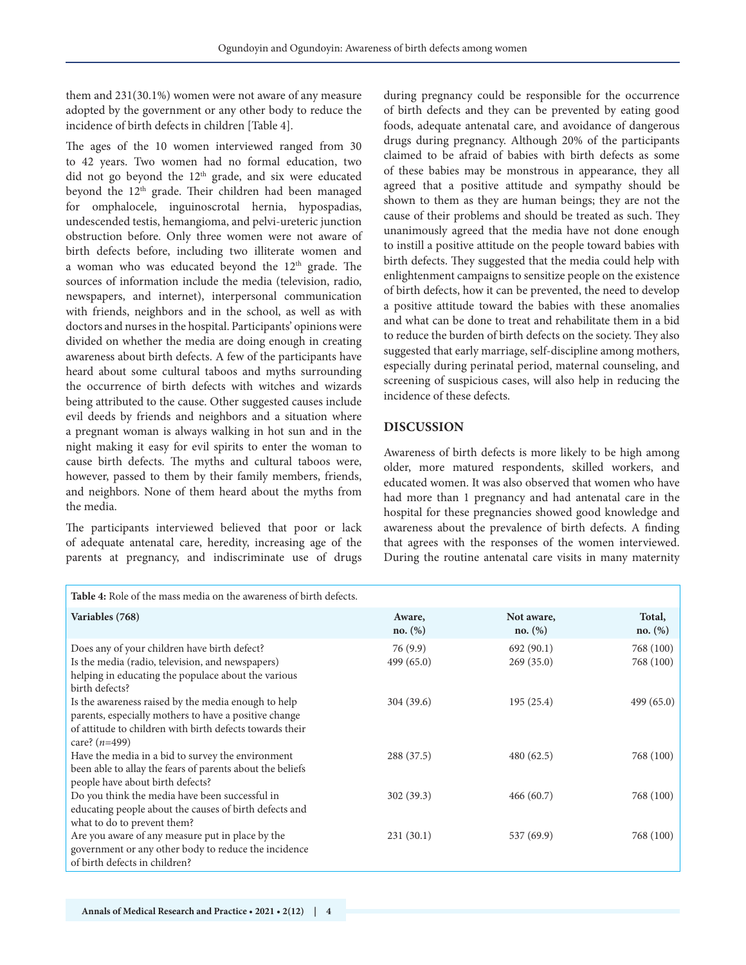them and 231(30.1%) women were not aware of any measure adopted by the government or any other body to reduce the incidence of birth defects in children [Table 4].

The ages of the 10 women interviewed ranged from 30 to 42 years. Two women had no formal education, two did not go beyond the 12<sup>th</sup> grade, and six were educated beyond the 12<sup>th</sup> grade. Their children had been managed for omphalocele, inguinoscrotal hernia, hypospadias, undescended testis, hemangioma, and pelvi-ureteric junction obstruction before. Only three women were not aware of birth defects before, including two illiterate women and a woman who was educated beyond the 12<sup>th</sup> grade. The sources of information include the media (television, radio, newspapers, and internet), interpersonal communication with friends, neighbors and in the school, as well as with doctors and nurses in the hospital. Participants' opinions were divided on whether the media are doing enough in creating awareness about birth defects. A few of the participants have heard about some cultural taboos and myths surrounding the occurrence of birth defects with witches and wizards being attributed to the cause. Other suggested causes include evil deeds by friends and neighbors and a situation where a pregnant woman is always walking in hot sun and in the night making it easy for evil spirits to enter the woman to cause birth defects. The myths and cultural taboos were, however, passed to them by their family members, friends, and neighbors. None of them heard about the myths from the media.

The participants interviewed believed that poor or lack of adequate antenatal care, heredity, increasing age of the parents at pregnancy, and indiscriminate use of drugs during pregnancy could be responsible for the occurrence of birth defects and they can be prevented by eating good foods, adequate antenatal care, and avoidance of dangerous drugs during pregnancy. Although 20% of the participants claimed to be afraid of babies with birth defects as some of these babies may be monstrous in appearance, they all agreed that a positive attitude and sympathy should be shown to them as they are human beings; they are not the cause of their problems and should be treated as such. They unanimously agreed that the media have not done enough to instill a positive attitude on the people toward babies with birth defects. They suggested that the media could help with enlightenment campaigns to sensitize people on the existence of birth defects, how it can be prevented, the need to develop a positive attitude toward the babies with these anomalies and what can be done to treat and rehabilitate them in a bid to reduce the burden of birth defects on the society. They also suggested that early marriage, self-discipline among mothers, especially during perinatal period, maternal counseling, and screening of suspicious cases, will also help in reducing the incidence of these defects.

## **DISCUSSION**

Awareness of birth defects is more likely to be high among older, more matured respondents, skilled workers, and educated women. It was also observed that women who have had more than 1 pregnancy and had antenatal care in the hospital for these pregnancies showed good knowledge and awareness about the prevalence of birth defects. A finding that agrees with the responses of the women interviewed. During the routine antenatal care visits in many maternity

| Table 4: Role of the mass media on the awareness of birth defects.                                                                                                                          |                       |                        |                        |  |  |  |
|---------------------------------------------------------------------------------------------------------------------------------------------------------------------------------------------|-----------------------|------------------------|------------------------|--|--|--|
| Variables (768)                                                                                                                                                                             | Aware,<br>no. (%)     | Not aware,<br>no. (%)  | Total,<br>no. (%)      |  |  |  |
| Does any of your children have birth defect?<br>Is the media (radio, television, and newspapers)<br>helping in educating the populace about the various<br>birth defects?                   | 76(9.9)<br>499 (65.0) | 692(90.1)<br>269(35.0) | 768 (100)<br>768 (100) |  |  |  |
| Is the awareness raised by the media enough to help<br>parents, especially mothers to have a positive change<br>of attitude to children with birth defects towards their<br>care? $(n=499)$ | 304 (39.6)            | 195(25.4)              | 499 (65.0)             |  |  |  |
| Have the media in a bid to survey the environment<br>been able to allay the fears of parents about the beliefs<br>people have about birth defects?                                          | 288 (37.5)            | 480(62.5)              | 768 (100)              |  |  |  |
| Do you think the media have been successful in<br>educating people about the causes of birth defects and<br>what to do to prevent them?                                                     | 302 (39.3)            | 466(60.7)              | 768 (100)              |  |  |  |
| Are you aware of any measure put in place by the<br>government or any other body to reduce the incidence<br>of birth defects in children?                                                   | 231(30.1)             | 537 (69.9)             | 768 (100)              |  |  |  |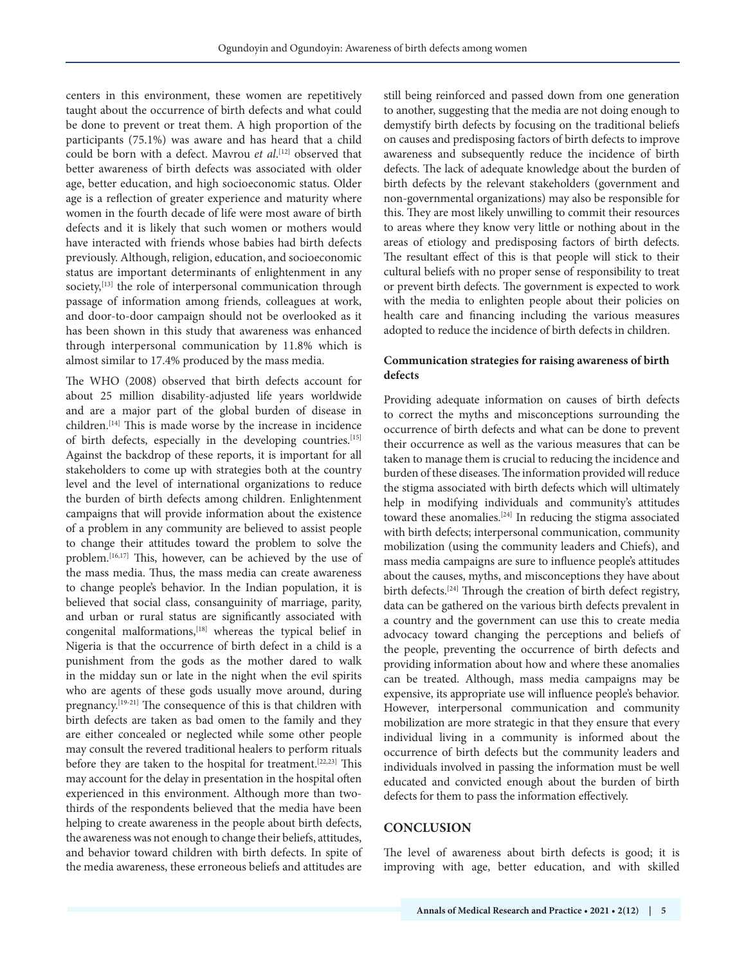centers in this environment, these women are repetitively taught about the occurrence of birth defects and what could be done to prevent or treat them. A high proportion of the participants (75.1%) was aware and has heard that a child could be born with a defect. Mavrou *et al*. [12] observed that better awareness of birth defects was associated with older age, better education, and high socioeconomic status. Older age is a reflection of greater experience and maturity where women in the fourth decade of life were most aware of birth defects and it is likely that such women or mothers would have interacted with friends whose babies had birth defects previously. Although, religion, education, and socioeconomic status are important determinants of enlightenment in any society,<sup>[13]</sup> the role of interpersonal communication through passage of information among friends, colleagues at work, and door-to-door campaign should not be overlooked as it has been shown in this study that awareness was enhanced through interpersonal communication by 11.8% which is almost similar to 17.4% produced by the mass media.

The WHO (2008) observed that birth defects account for about 25 million disability-adjusted life years worldwide and are a major part of the global burden of disease in children.<sup>[14]</sup> This is made worse by the increase in incidence of birth defects, especially in the developing countries.<sup>[15]</sup> Against the backdrop of these reports, it is important for all stakeholders to come up with strategies both at the country level and the level of international organizations to reduce the burden of birth defects among children. Enlightenment campaigns that will provide information about the existence of a problem in any community are believed to assist people to change their attitudes toward the problem to solve the problem.[16,17] This, however, can be achieved by the use of the mass media. Thus, the mass media can create awareness to change people's behavior. In the Indian population, it is believed that social class, consanguinity of marriage, parity, and urban or rural status are significantly associated with congenital malformations,[18] whereas the typical belief in Nigeria is that the occurrence of birth defect in a child is a punishment from the gods as the mother dared to walk in the midday sun or late in the night when the evil spirits who are agents of these gods usually move around, during pregnancy.<sup>[19-21]</sup> The consequence of this is that children with birth defects are taken as bad omen to the family and they are either concealed or neglected while some other people may consult the revered traditional healers to perform rituals before they are taken to the hospital for treatment.<sup>[22,23]</sup> This may account for the delay in presentation in the hospital often experienced in this environment. Although more than twothirds of the respondents believed that the media have been helping to create awareness in the people about birth defects, the awareness was not enough to change their beliefs, attitudes, and behavior toward children with birth defects. In spite of the media awareness, these erroneous beliefs and attitudes are

still being reinforced and passed down from one generation to another, suggesting that the media are not doing enough to demystify birth defects by focusing on the traditional beliefs on causes and predisposing factors of birth defects to improve awareness and subsequently reduce the incidence of birth defects. The lack of adequate knowledge about the burden of birth defects by the relevant stakeholders (government and non-governmental organizations) may also be responsible for this. They are most likely unwilling to commit their resources to areas where they know very little or nothing about in the areas of etiology and predisposing factors of birth defects. The resultant effect of this is that people will stick to their cultural beliefs with no proper sense of responsibility to treat or prevent birth defects. The government is expected to work with the media to enlighten people about their policies on health care and financing including the various measures adopted to reduce the incidence of birth defects in children.

# **Communication strategies for raising awareness of birth defects**

Providing adequate information on causes of birth defects to correct the myths and misconceptions surrounding the occurrence of birth defects and what can be done to prevent their occurrence as well as the various measures that can be taken to manage them is crucial to reducing the incidence and burden of these diseases. The information provided will reduce the stigma associated with birth defects which will ultimately help in modifying individuals and community's attitudes toward these anomalies.[24] In reducing the stigma associated with birth defects; interpersonal communication, community mobilization (using the community leaders and Chiefs), and mass media campaigns are sure to influence people's attitudes about the causes, myths, and misconceptions they have about birth defects.<sup>[24]</sup> Through the creation of birth defect registry, data can be gathered on the various birth defects prevalent in a country and the government can use this to create media advocacy toward changing the perceptions and beliefs of the people, preventing the occurrence of birth defects and providing information about how and where these anomalies can be treated. Although, mass media campaigns may be expensive, its appropriate use will influence people's behavior. However, interpersonal communication and community mobilization are more strategic in that they ensure that every individual living in a community is informed about the occurrence of birth defects but the community leaders and individuals involved in passing the information must be well educated and convicted enough about the burden of birth defects for them to pass the information effectively.

#### **CONCLUSION**

The level of awareness about birth defects is good; it is improving with age, better education, and with skilled